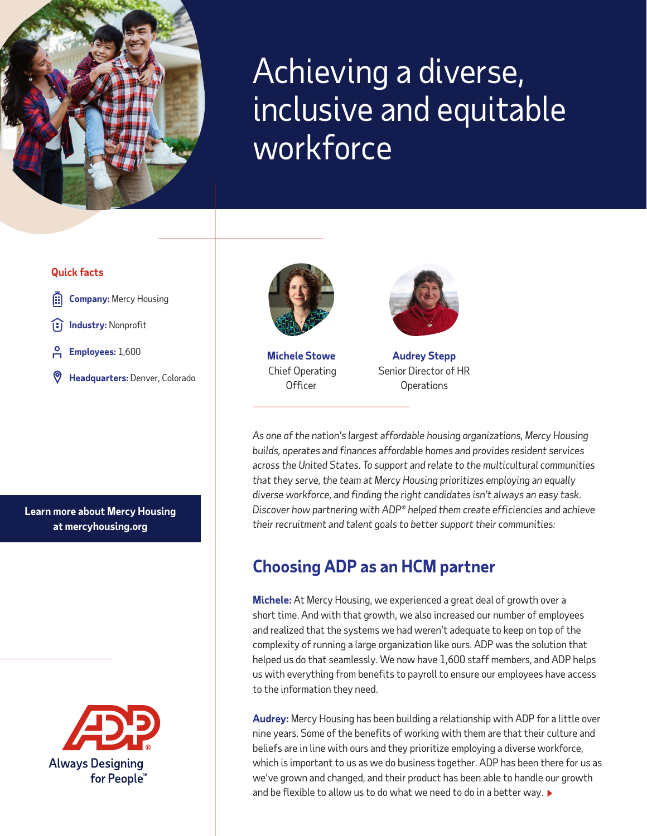

# Achieving a diverse, inclusive and equitable workforce

#### **Quick facts**

- **Company:** Mercy Housing
- **Industry:** Nonprofit
- **Employees:** 1,600
- **Headquarters:** Denver, Colorado



**Michele Stowe** Chief Operating **Officer** 



**Audrey Stepp**  Senior Director of HR **Operations** 

*As one of the nation's largest affordable housing organizations, Mercy Housing builds, operates and finances affordable homes and provides resident services across the United States. To support and relate to the multicultural communities that they serve, the team at Mercy Housing prioritizes employing an equally diverse workforce, and finding the right candidates isn't always an easy task. Discover how partnering with ADP® helped them create efficiencies and achieve their recruitment and talent goals to better support their communities:*

### **Choosing ADP as an HCM partner**

**Michele:** At Mercy Housing, we experienced a great deal of growth over a short time. And with that growth, we also increased our number of employees and realized that the systems we had weren't adequate to keep on top of the complexity of running a large organization like ours. ADP was the solution that helped us do that seamlessly. We now have 1,600 staff members, and ADP helps us with everything from benefits to payroll to ensure our employees have access to the information they need.

**Audrey:** Mercy Housing has been building a relationship with ADP for a little over nine years. Some of the benefits of working with them are that their culture and beliefs are in line with ours and they prioritize employing a diverse workforce, which is important to us as we do business together. ADP has been there for us as we've grown and changed, and their product has been able to handle our growth and be flexible to allow us to do what we need to do in a better way.

**Learn more about Mercy Housing at [mercyhousing.org](https://www.mercyhousing.org/)**

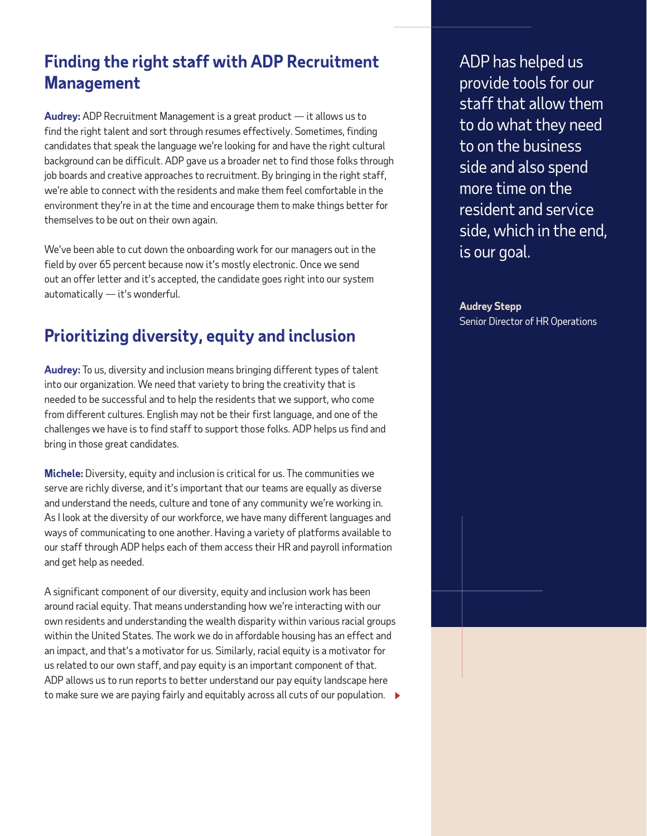### **Finding the right staff with ADP Recruitment Management**

**Audrey:** ADP Recruitment Management is a great product — it allows us to find the right talent and sort through resumes effectively. Sometimes, finding candidates that speak the language we're looking for and have the right cultural background can be difficult. ADP gave us a broader net to find those folks through job boards and creative approaches to recruitment. By bringing in the right staff, we're able to connect with the residents and make them feel comfortable in the environment they're in at the time and encourage them to make things better for themselves to be out on their own again.

We've been able to cut down the onboarding work for our managers out in the field by over 65 percent because now it's mostly electronic. Once we send out an offer letter and it's accepted, the candidate goes right into our system automatically — it's wonderful.

# **Prioritizing diversity, equity and inclusion**

**Audrey:** To us, diversity and inclusion means bringing different types of talent into our organization. We need that variety to bring the creativity that is needed to be successful and to help the residents that we support, who come from different cultures. English may not be their first language, and one of the challenges we have is to find staff to support those folks. ADP helps us find and bring in those great candidates.

**Michele:** Diversity, equity and inclusion is critical for us. The communities we serve are richly diverse, and it's important that our teams are equally as diverse and understand the needs, culture and tone of any community we're working in. As I look at the diversity of our workforce, we have many different languages and ways of communicating to one another. Having a variety of platforms available to our staff through ADP helps each of them access their HR and payroll information and get help as needed.

A significant component of our diversity, equity and inclusion work has been around racial equity. That means understanding how we're interacting with our own residents and understanding the wealth disparity within various racial groups within the United States. The work we do in affordable housing has an effect and an impact, and that's a motivator for us. Similarly, racial equity is a motivator for us related to our own staff, and pay equity is an important component of that. ADP allows us to run reports to better understand our pay equity landscape here to make sure we are paying fairly and equitably across all cuts of our population.  $\blacktriangleright$ 

ADP has helped us provide tools for our staff that allow them to do what they need to on the business side and also spend more time on the resident and service side, which in the end, is our goal.

**Audrey Stepp** Senior Director of HR Operations